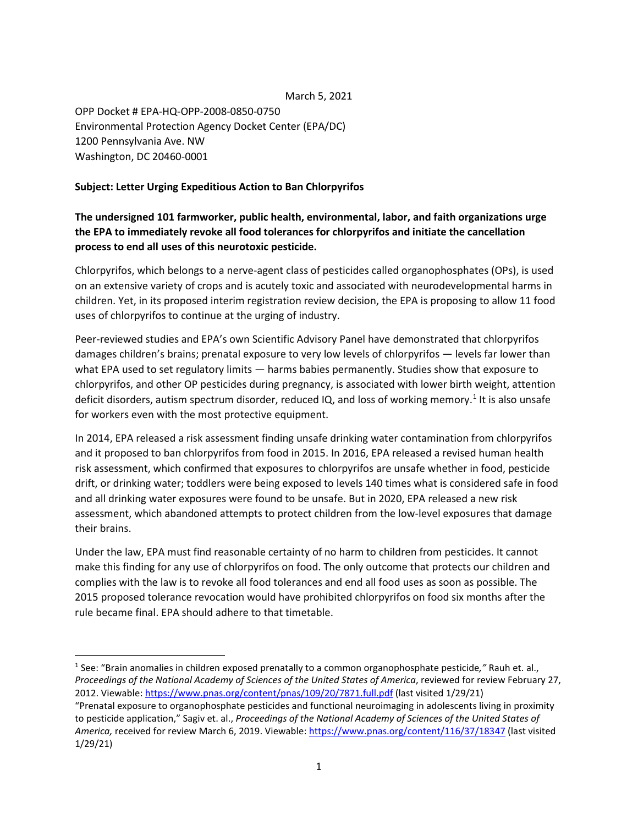## March 5, 2021

OPP Docket # EPA-HQ-OPP-2008-0850-0750 Environmental Protection Agency Docket Center (EPA/DC) 1200 Pennsylvania Ave. NW Washington, DC 20460-0001

## **Subject: Letter Urging Expeditious Action to Ban Chlorpyrifos**

## **The undersigned 101 farmworker, public health, environmental, labor, and faith organizations urge the EPA to immediately revoke all food tolerances for chlorpyrifos and initiate the cancellation process to end all uses of this neurotoxic pesticide.**

Chlorpyrifos, which belongs to a nerve-agent class of pesticides called organophosphates (OPs), is used on an extensive variety of crops and is acutely toxic and associated with neurodevelopmental harms in children. Yet, in its proposed interim registration review decision, the EPA is proposing to allow 11 food uses of chlorpyrifos to continue at the urging of industry.

Peer-reviewed studies and EPA's own Scientific Advisory Panel have demonstrated that chlorpyrifos damages children's brains; prenatal exposure to very low levels of chlorpyrifos — levels far lower than what EPA used to set regulatory limits — harms babies permanently. Studies show that exposure to chlorpyrifos, and other OP pesticides during pregnancy, is associated with lower birth weight, attention deficit disorders, autism spectrum disorder, reduced IQ, and loss of working memory.<sup>[1](#page-0-0)</sup> It is also unsafe for workers even with the most protective equipment.

In 2014, EPA released a risk assessment finding unsafe drinking water contamination from chlorpyrifos and it proposed to ban chlorpyrifos from food in 2015. In 2016, EPA released a revised human health risk assessment, which confirmed that exposures to chlorpyrifos are unsafe whether in food, pesticide drift, or drinking water; toddlers were being exposed to levels 140 times what is considered safe in food and all drinking water exposures were found to be unsafe. But in 2020, EPA released a new risk assessment, which abandoned attempts to protect children from the low-level exposures that damage their brains.

Under the law, EPA must find reasonable certainty of no harm to children from pesticides. It cannot make this finding for any use of chlorpyrifos on food. The only outcome that protects our children and complies with the law is to revoke all food tolerances and end all food uses as soon as possible. The 2015 proposed tolerance revocation would have prohibited chlorpyrifos on food six months after the rule became final. EPA should adhere to that timetable.

<span id="page-0-0"></span> <sup>1</sup> See: "Brain anomalies in children exposed prenatally to a common organophosphate pesticide*,"* Rauh et. al., *Proceedings of the National Academy of Sciences of the United States of America*, reviewed for review February 27, 2012. Viewable[: https://www.pnas.org/content/pnas/109/20/7871.full.pdf](https://www.pnas.org/content/pnas/109/20/7871.full.pdf) (last visited 1/29/21)

<sup>&</sup>quot;Prenatal exposure to organophosphate pesticides and functional neuroimaging in adolescents living in proximity to pesticide application," Sagiv et. al., *Proceedings of the National Academy of Sciences of the United States of America,* received for review March 6, 2019. Viewable[: https://www.pnas.org/content/116/37/18347](https://www.pnas.org/content/116/37/18347) (last visited 1/29/21)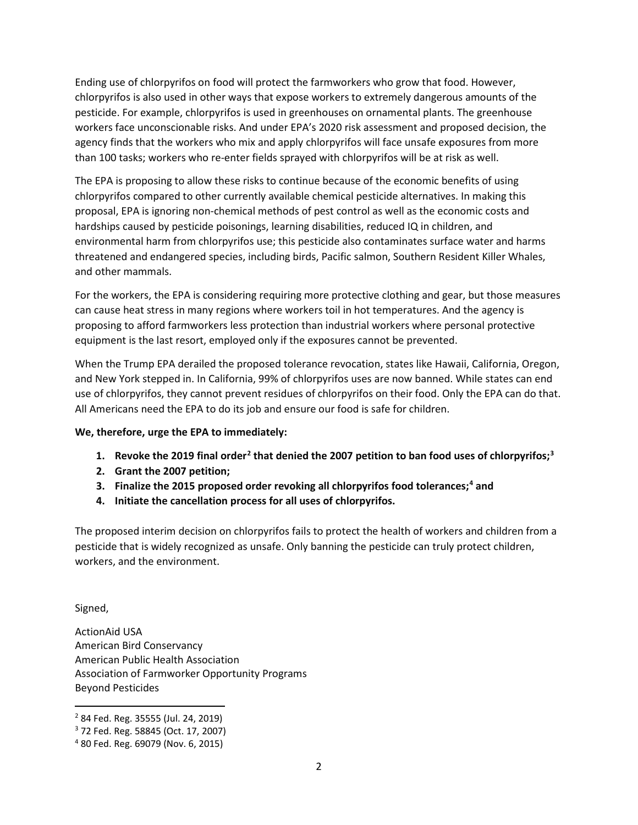Ending use of chlorpyrifos on food will protect the farmworkers who grow that food. However, chlorpyrifos is also used in other ways that expose workers to extremely dangerous amounts of the pesticide. For example, chlorpyrifos is used in greenhouses on ornamental plants. The greenhouse workers face unconscionable risks. And under EPA's 2020 risk assessment and proposed decision, the agency finds that the workers who mix and apply chlorpyrifos will face unsafe exposures from more than 100 tasks; workers who re-enter fields sprayed with chlorpyrifos will be at risk as well.

The EPA is proposing to allow these risks to continue because of the economic benefits of using chlorpyrifos compared to other currently available chemical pesticide alternatives. In making this proposal, EPA is ignoring non-chemical methods of pest control as well as the economic costs and hardships caused by pesticide poisonings, learning disabilities, reduced IQ in children, and environmental harm from chlorpyrifos use; this pesticide also contaminates surface water and harms threatened and endangered species, including birds, Pacific salmon, Southern Resident Killer Whales, and other mammals.

For the workers, the EPA is considering requiring more protective clothing and gear, but those measures can cause heat stress in many regions where workers toil in hot temperatures. And the agency is proposing to afford farmworkers less protection than industrial workers where personal protective equipment is the last resort, employed only if the exposures cannot be prevented.

When the Trump EPA derailed the proposed tolerance revocation, states like Hawaii, California, Oregon, and New York stepped in. In California, 99% of chlorpyrifos uses are now banned. While states can end use of chlorpyrifos, they cannot prevent residues of chlorpyrifos on their food. Only the EPA can do that. All Americans need the EPA to do its job and ensure our food is safe for children.

## **We, therefore, urge the EPA to immediately:**

- **1. Revoke the 2019 final order[2](#page-1-0) that denied the 2007 petition to ban food uses of chlorpyrifos; [3](#page-1-1)**
- **2. Grant the 2007 petition;**
- **3. Finalize the 2015 proposed order revoking all chlorpyrifos food tolerances; [4](#page-1-2) and**
- **4. Initiate the cancellation process for all uses of chlorpyrifos.**

The proposed interim decision on chlorpyrifos fails to protect the health of workers and children from a pesticide that is widely recognized as unsafe. Only banning the pesticide can truly protect children, workers, and the environment.

Signed,

ActionAid USA American Bird Conservancy American Public Health Association Association of Farmworker Opportunity Programs Beyond Pesticides

<span id="page-1-0"></span> <sup>2</sup> 84 Fed. Reg. 35555 (Jul. 24, 2019)

<span id="page-1-1"></span><sup>3</sup> 72 Fed. Reg. 58845 (Oct. 17, 2007)

<span id="page-1-2"></span><sup>4</sup> 80 Fed. Reg. 69079 (Nov. 6, 2015)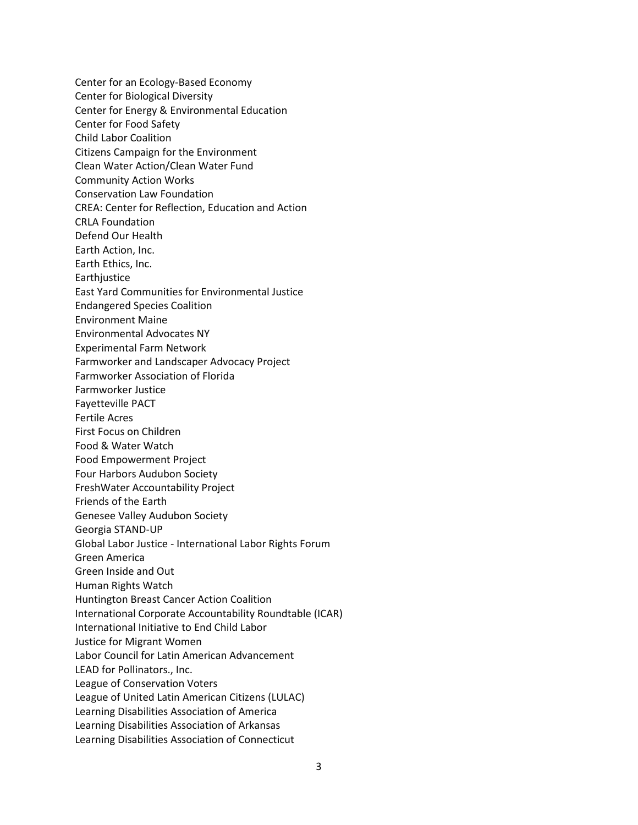Center for an Ecology-Based Economy Center for Biological Diversity Center for Energy & Environmental Education Center for Food Safety Child Labor Coalition Citizens Campaign for the Environment Clean Water Action/Clean Water Fund Community Action Works Conservation Law Foundation CREA: Center for Reflection, Education and Action CRLA Foundation Defend Our Health Earth Action, Inc. Earth Ethics, Inc. **Earthjustice** East Yard Communities for Environmental Justice Endangered Species Coalition Environment Maine Environmental Advocates NY Experimental Farm Network Farmworker and Landscaper Advocacy Project Farmworker Association of Florida Farmworker Justice Fayetteville PACT Fertile Acres First Focus on Children Food & Water Watch Food Empowerment Project Four Harbors Audubon Society FreshWater Accountability Project Friends of the Earth Genesee Valley Audubon Society Georgia STAND-UP Global Labor Justice - International Labor Rights Forum Green America Green Inside and Out Human Rights Watch Huntington Breast Cancer Action Coalition International Corporate Accountability Roundtable (ICAR) International Initiative to End Child Labor Justice for Migrant Women Labor Council for Latin American Advancement LEAD for Pollinators., Inc. League of Conservation Voters League of United Latin American Citizens (LULAC) Learning Disabilities Association of America Learning Disabilities Association of Arkansas Learning Disabilities Association of Connecticut